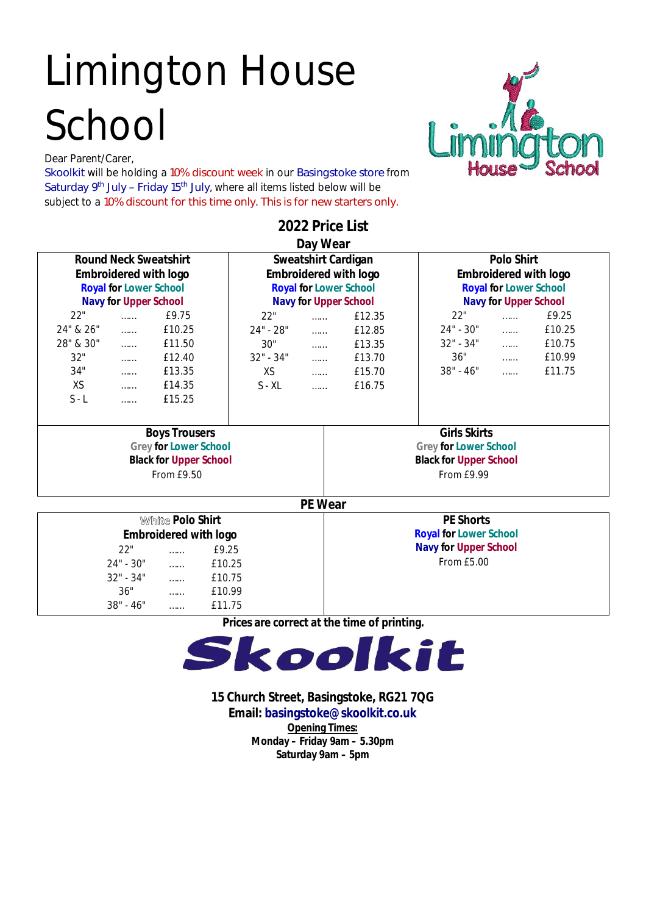# Limington House School

Dear Parent/Carer,

**Skoolkit** will be holding a **10% discount week** in our **Basingstoke store** from **Saturday 9 th July – Friday 15th July**, where all items listed below will be subject to a **10% discount for this time only**. **This is for new starters only.**



| <b>White Polo Shirt</b><br><b>Embroidered with logo</b> | <b>PE Shorts</b><br><b>Royal for Lower School</b> |
|---------------------------------------------------------|---------------------------------------------------|
| 22"<br>£9.25<br>                                        | <b>Navy for Upper School</b>                      |
| $24" - 30"$<br>£10.25<br>.                              | From £5.00                                        |
| $32" - 34"$<br>£10.75<br>                               |                                                   |
| 36"<br>£10.99<br>                                       |                                                   |
| $38" - 46"$<br>£11.75<br>                               |                                                   |

**Prices are correct at the time of printing.** 



**15 Church Street, Basingstoke, RG21 7QG**

**Email: basingstoke@skoolkit.co.uk**

**Opening Times: Monday – Friday 9am – 5.30pm Saturday 9am – 5pm**